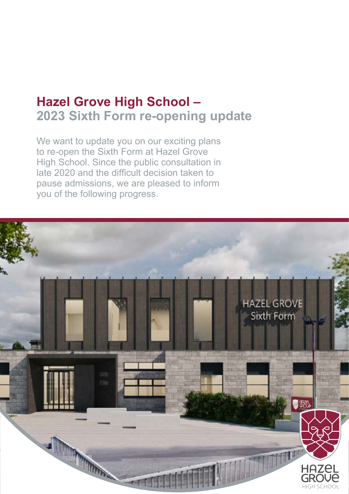## **Hazel Grove High School – 2023 Sixth Form re-opening update**

We want to update you on our exciting plans to re-open the Sixth Form at Hazel Grove High School. Since the public consultation in late 2020 and the difficult decision taken to pause admissions, we are pleased to inform you of the following progress.

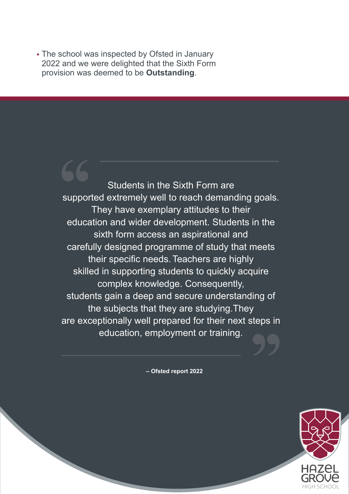• The school was inspected by Ofsted in January 2022 and we were delighted that the Sixth Form provision was deemed to be **Outstanding**.

> Students in the Sixth Form are supported extremely well to reach demanding goals. They have exemplary attitudes to their education and wider development. Students in the sixth form access an aspirational and carefully designed programme of study that meets their specific needs. Teachers are highly skilled in supporting students to quickly acquire complex knowledge. Consequently, students gain a deep and secure understanding of the subjects that they are studying.They are exceptionally well prepared for their next steps in education, employment or training.**'' Support**

> > **– Ofsted report 2022**

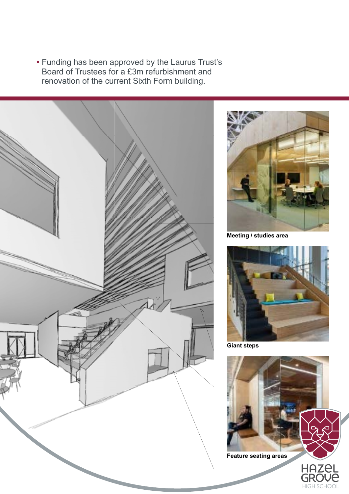**•** Funding has been approved by the Laurus Trust's Board of Trustees for a £3m refurbishment and renovation of the current Sixth Form building.



![](_page_2_Picture_2.jpeg)

**Meeting / studies area**

![](_page_2_Picture_4.jpeg)

**Giant steps**

![](_page_2_Picture_6.jpeg)

HIGH SCHOOL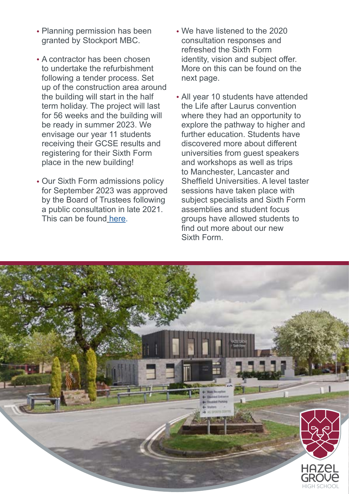- Planning permission has been granted by Stockport MBC.
- A contractor has been chosen to undertake the refurbishment following a tender process. Set up of the construction area around the building will start in the half term holiday. The project will last for 56 weeks and the building will be ready in summer 2023. We envisage our year 11 students receiving their GCSE results and registering for their Sixth Form place in the new building!
- Our Sixth Form admissions policy for September 2023 was approved by the Board of Trustees following a public consultation in late 2021. This can be found [here](https://www.hazelgrovehigh.co.uk/sixth-form/sixth-form-admissions/).
- We have listened to the 2020 consultation responses and refreshed the Sixth Form identity, vision and subject offer. More on this can be found on the next page.
- All year 10 students have attended the Life after Laurus convention where they had an opportunity to explore the pathway to higher and further education. Students have discovered more about different universities from guest speakers and workshops as well as trips to Manchester, Lancaster and Sheffield Universities. A level taster sessions have taken place with subject specialists and Sixth Form assemblies and student focus groups have allowed students to find out more about our new Sixth Form.

![](_page_3_Picture_5.jpeg)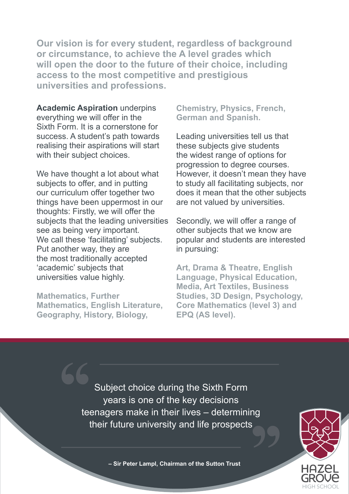**Our vision is for every student, regardless of background or circumstance, to achieve the A level grades which will open the door to the future of their choice, including access to the most competitive and prestigious universities and professions.**

**Academic Aspiration** underpins everything we will offer in the Sixth Form. It is a cornerstone for success. A student's path towards realising their aspirations will start with their subject choices.

We have thought a lot about what subjects to offer, and in putting our curriculum offer together two things have been uppermost in our thoughts: Firstly, we will offer the subjects that the leading universities see as being very important. We call these 'facilitating' subjects. Put another way, they are the most traditionally accepted 'academic' subjects that universities value highly.

**Mathematics, Further Mathematics, English Literature, Geography, History, Biology,** 

**Chemistry, Physics, French, German and Spanish.**

Leading universities tell us that these subjects give students the widest range of options for progression to degree courses. However, it doesn't mean they have to study all facilitating subjects, nor does it mean that the other subjects are not valued by universities.

Secondly, we will offer a range of other subjects that we know are popular and students are interested in pursuing:

**Art, Drama & Theatre, English Language, Physical Education, Media, Art Textiles, Business Studies, 3D Design, Psychology, Core Mathematics (level 3) and EPQ (AS level).**

Subject choice during the Sixth Form years is one of the key decisions teenagers make in their lives – determining their future university and life prospects**'' ''**

![](_page_4_Picture_9.jpeg)

**– Sir Peter Lampl, Chairman of the Sutton Trust**